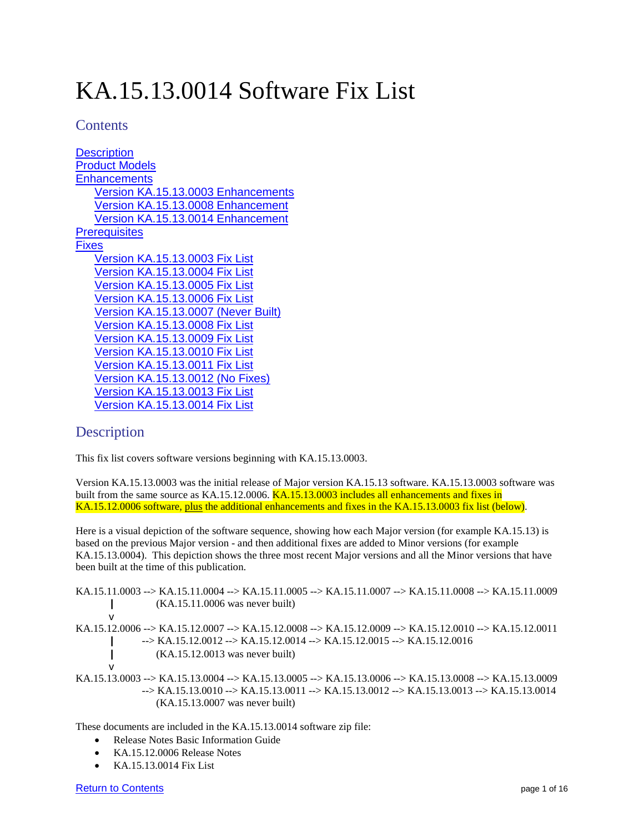# KA.15.13.0014 Software Fix List

# <span id="page-0-0"></span>**Contents**

**[Description](#page-0-1)** [Product Models](#page-1-0) **[Enhancements](#page-1-1)** [Version KA.15.13.0003](#page-1-2) Enhancements [Version KA.15.13.0008 Enhancement](#page-2-0) [Version KA.15.13.0014 Enhancement](#page-2-1) **[Prerequisites](#page-2-2)** [Fixes](#page-2-3) [Version KA.15.13.0003](#page-2-4) Fix List [Version KA.15.13.0004 Fix List](#page-6-0) [Version KA.15.13.0005 Fix List](#page-7-0) [Version KA.15.13.0006 Fix List](#page-9-0) [Version KA.15.13.0007 \(Never Built\)](#page-10-0) [Version KA.15.13.0008 Fix List](#page-11-0) [Version KA.15.13.0009 Fix List](#page-12-0) [Version KA.15.13.0010 Fix List](#page-13-0) [Version KA.15.13.0011 Fix List](#page-13-1) [Version KA.15.13.0012 \(No Fixes\)](#page-13-2) [Version KA.15.13.0013 Fix List](#page-13-3) [Version KA.15.13.0014 Fix List](#page-14-0)

# <span id="page-0-1"></span>**Description**

This fix list covers software versions beginning with KA.15.13.0003.

Version KA.15.13.0003 was the initial release of Major version KA.15.13 software. KA.15.13.0003 software was built from the same source as KA.15.12.0006. KA.15.13.0003 includes all enhancements and fixes in KA.15.12.0006 software, plus the additional enhancements and fixes in the KA.15.13.0003 fix list (below).

Here is a visual depiction of the software sequence, showing how each Major version (for example KA.15.13) is based on the previous Major version - and then additional fixes are added to Minor versions (for example KA.15.13.0004). This depiction shows the three most recent Major versions and all the Minor versions that have been built at the time of this publication.

KA.15.11.0003 --> KA.15.11.0004 --> KA.15.11.0005 --> KA.15.11.0007 --> KA.15.11.0008 --> KA.15.11.0009 **|** (KA.15.11.0006 was never built) v KA.15.12.0006 --> KA.15.12.0007 --> KA.15.12.0008 --> KA.15.12.0009 --> KA.15.12.0010 --> KA.15.12.0011 **|** --> KA.15.12.0012 --> KA.15.12.0014 --> KA.15.12.0015 --> KA.15.12.0016 **|** (KA.15.12.0013 was never built) v KA.15.13.0003 --> KA.15.13.0004 --> KA.15.13.0005 --> KA.15.13.0006 --> KA.15.13.0008 --> KA.15.13.0009 --> KA.15.13.0010 --> KA.15.13.0011 --> KA.15.13.0012 --> KA.15.13.0013 --> KA.15.13.0014 (KA.15.13.0007 was never built)

These documents are included in the KA.15.13.0014 software zip file:

- Release Notes Basic Information Guide
- KA.15.12.0006 Release Notes
- KA.15.13.0014 Fix List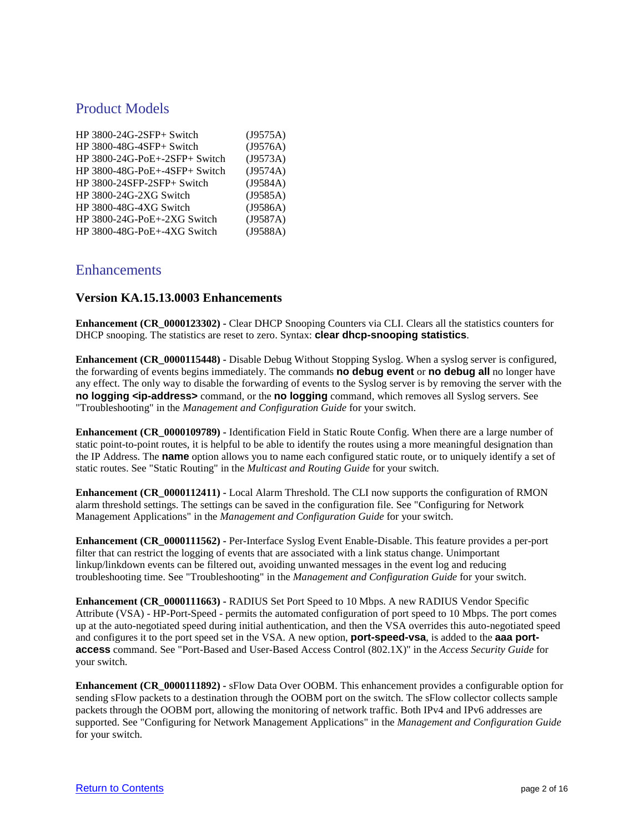# <span id="page-1-0"></span>Product Models

| HP 3800-24G-2SFP+ Switch               | (J9575A) |
|----------------------------------------|----------|
| HP 3800-48G-4SFP+ Switch               | (J9576A) |
| $HP$ 3800-24G-PoE $+$ -2SFP $+$ Switch | (J9573A) |
| $HP$ 3800-48G-PoE $+$ -4SFP $+$ Switch | (J9574A) |
| HP 3800-24SFP-2SFP+ Switch             | (J9584A) |
| HP 3800-24G-2XG Switch                 | (J9585A) |
| HP 3800-48G-4XG Switch                 | (J9586A) |
| HP 3800-24G-PoE+-2XG Switch            | (J9587A) |
| HP 3800-48G-PoE+-4XG Switch            | (J9588A) |

# <span id="page-1-1"></span>Enhancements

#### <span id="page-1-2"></span>**Version KA.15.13.0003 Enhancements**

**Enhancement (CR\_0000123302) -** Clear DHCP Snooping Counters via CLI. Clears all the statistics counters for DHCP snooping. The statistics are reset to zero. Syntax: **clear dhcp-snooping statistics**.

**Enhancement (CR\_0000115448) -** Disable Debug Without Stopping Syslog. When a syslog server is configured, the forwarding of events begins immediately. The commands **no debug event** or **no debug all** no longer have any effect. The only way to disable the forwarding of events to the Syslog server is by removing the server with the **no logging <ip-address>** command, or the **no logging** command, which removes all Syslog servers. See "Troubleshooting" in the *Management and Configuration Guide* for your switch.

**Enhancement (CR\_0000109789) -** Identification Field in Static Route Config. When there are a large number of static point-to-point routes, it is helpful to be able to identify the routes using a more meaningful designation than the IP Address. The **name** option allows you to name each configured static route, or to uniquely identify a set of static routes. See "Static Routing" in the *Multicast and Routing Guide* for your switch.

**Enhancement (CR\_0000112411) -** Local Alarm Threshold. The CLI now supports the configuration of RMON alarm threshold settings. The settings can be saved in the configuration file. See "Configuring for Network Management Applications" in the *Management and Configuration Guide* for your switch.

**Enhancement (CR\_0000111562) -** Per-Interface Syslog Event Enable-Disable. This feature provides a per-port filter that can restrict the logging of events that are associated with a link status change. Unimportant linkup/linkdown events can be filtered out, avoiding unwanted messages in the event log and reducing troubleshooting time. See "Troubleshooting" in the *Management and Configuration Guide* for your switch.

**Enhancement (CR\_0000111663) -** RADIUS Set Port Speed to 10 Mbps. A new RADIUS Vendor Specific Attribute (VSA) - HP-Port-Speed - permits the automated configuration of port speed to 10 Mbps. The port comes up at the auto-negotiated speed during initial authentication, and then the VSA overrides this auto-negotiated speed and configures it to the port speed set in the VSA. A new option, **port-speed-vsa**, is added to the **aaa portaccess** command. See "Port-Based and User-Based Access Control (802.1X)" in the *Access Security Guide* for your switch.

**Enhancement (CR\_0000111892) -** sFlow Data Over OOBM. This enhancement provides a configurable option for sending sFlow packets to a destination through the OOBM port on the switch. The sFlow collector collects sample packets through the OOBM port, allowing the monitoring of network traffic. Both IPv4 and IPv6 addresses are supported. See "Configuring for Network Management Applications" in the *Management and Configuration Guide* for your switch.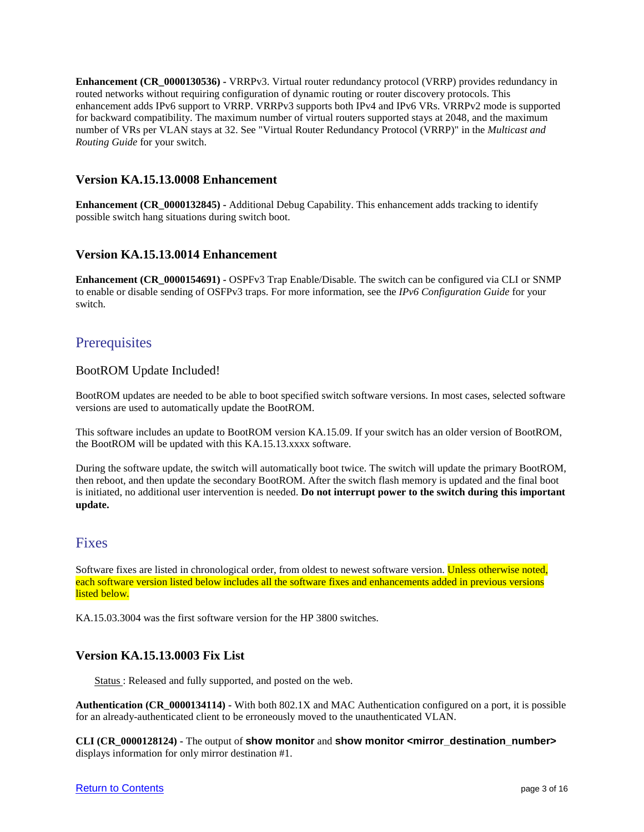**Enhancement (CR\_0000130536) -** VRRPv3. Virtual router redundancy protocol (VRRP) provides redundancy in routed networks without requiring configuration of dynamic routing or router discovery protocols. This enhancement adds IPv6 support to VRRP. VRRPv3 supports both IPv4 and IPv6 VRs. VRRPv2 mode is supported for backward compatibility. The maximum number of virtual routers supported stays at 2048, and the maximum number of VRs per VLAN stays at 32. See "Virtual Router Redundancy Protocol (VRRP)" in the *Multicast and Routing Guide* for your switch.

# <span id="page-2-0"></span>**Version KA.15.13.0008 Enhancement**

**Enhancement (CR\_0000132845) -** Additional Debug Capability. This enhancement adds tracking to identify possible switch hang situations during switch boot.

# <span id="page-2-1"></span>**Version KA.15.13.0014 Enhancement**

**Enhancement (CR\_0000154691) -** OSPFv3 Trap Enable/Disable. The switch can be configured via CLI or SNMP to enable or disable sending of OSFPv3 traps. For more information, see the *IPv6 Configuration Guide* for your switch.

# <span id="page-2-2"></span>**Prerequisites**

# BootROM Update Included!

BootROM updates are needed to be able to boot specified switch software versions. In most cases, selected software versions are used to automatically update the BootROM.

This software includes an update to BootROM version KA.15.09. If your switch has an older version of BootROM, the BootROM will be updated with this KA.15.13.xxxx software.

During the software update, the switch will automatically boot twice. The switch will update the primary BootROM, then reboot, and then update the secondary BootROM. After the switch flash memory is updated and the final boot is initiated, no additional user intervention is needed. **Do not interrupt power to the switch during this important update.**

# <span id="page-2-3"></span>Fixes

Software fixes are listed in chronological order, from oldest to newest software version. Unless otherwise noted, each software version listed below includes all the software fixes and enhancements added in previous versions listed below.

KA.15.03.3004 was the first software version for the HP 3800 switches.

# <span id="page-2-4"></span>**Version KA.15.13.0003 Fix List**

Status: Released and fully supported, and posted on the web.

**Authentication (CR\_0000134114) -** With both 802.1X and MAC Authentication configured on a port, it is possible for an already-authenticated client to be erroneously moved to the unauthenticated VLAN.

**CLI (CR\_0000128124) -** The output of **show monitor** and **show monitor <mirror\_destination\_number>** displays information for only mirror destination #1.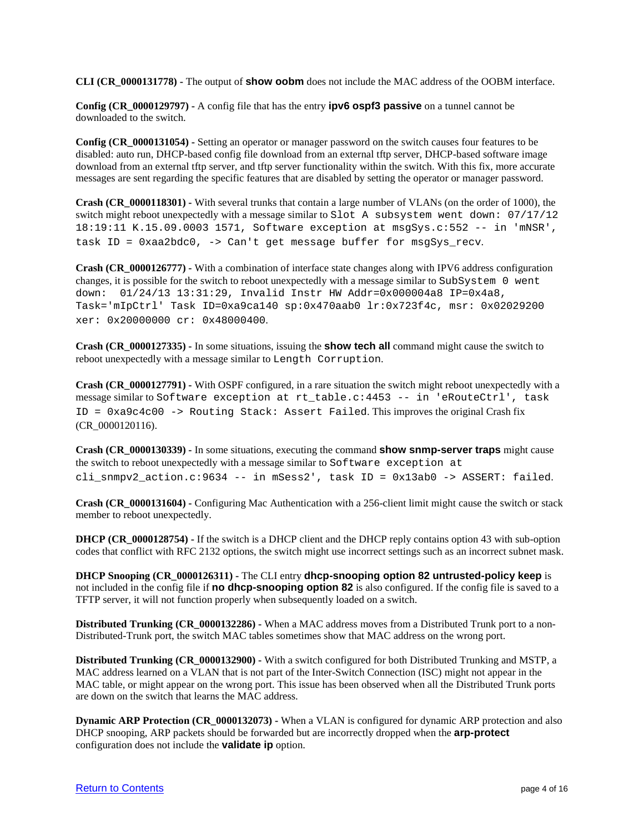**CLI (CR\_0000131778) -** The output of **show oobm** does not include the MAC address of the OOBM interface.

**Config (CR\_0000129797) -** A config file that has the entry **ipv6 ospf3 passive** on a tunnel cannot be downloaded to the switch.

**Config (CR\_0000131054) -** Setting an operator or manager password on the switch causes four features to be disabled: auto run, DHCP-based config file download from an external tftp server, DHCP-based software image download from an external tftp server, and tftp server functionality within the switch. With this fix, more accurate messages are sent regarding the specific features that are disabled by setting the operator or manager password.

**Crash (CR\_0000118301) -** With several trunks that contain a large number of VLANs (on the order of 1000), the switch might reboot unexpectedly with a message similar to Slot A subsystem went down: 07/17/12 18:19:11 K.15.09.0003 1571, Software exception at msgSys.c:552 -- in 'mNSR', task ID = 0xaa2bdc0, -> Can't get message buffer for msgSys\_recv.

**Crash (CR\_0000126777) -** With a combination of interface state changes along with IPV6 address configuration changes, it is possible for the switch to reboot unexpectedly with a message similar to SubSystem 0 went down: 01/24/13 13:31:29, Invalid Instr HW Addr=0x000004a8 IP=0x4a8, Task='mIpCtrl' Task ID=0xa9ca140 sp:0x470aab0 lr:0x723f4c, msr: 0x02029200 xer: 0x20000000 cr: 0x48000400.

**Crash (CR\_0000127335) -** In some situations, issuing the **show tech all** command might cause the switch to reboot unexpectedly with a message similar to Length Corruption.

**Crash (CR\_0000127791)** - With OSPF configured, in a rare situation the switch might reboot unexpectedly with a message similar to Software exception at rt\_table.c:4453 -- in 'eRouteCtrl', task ID = 0xa9c4c00 -> Routing Stack: Assert Failed. This improves the original Crash fix (CR\_0000120116).

**Crash (CR\_0000130339) -** In some situations, executing the command **show snmp-server traps** might cause the switch to reboot unexpectedly with a message similar to Software exception at cli\_snmpv2\_action.c:9634 -- in mSess2', task ID = 0x13ab0 -> ASSERT: failed.

**Crash (CR\_0000131604) -** Configuring Mac Authentication with a 256-client limit might cause the switch or stack member to reboot unexpectedly.

**DHCP (CR\_0000128754)** - If the switch is a DHCP client and the DHCP reply contains option 43 with sub-option codes that conflict with RFC 2132 options, the switch might use incorrect settings such as an incorrect subnet mask.

**DHCP Snooping (CR\_0000126311) -** The CLI entry **dhcp-snooping option 82 untrusted-policy keep** is not included in the config file if **no dhcp-snooping option 82** is also configured. If the config file is saved to a TFTP server, it will not function properly when subsequently loaded on a switch.

**Distributed Trunking (CR\_0000132286) -** When a MAC address moves from a Distributed Trunk port to a non-Distributed-Trunk port, the switch MAC tables sometimes show that MAC address on the wrong port.

**Distributed Trunking (CR\_0000132900)** - With a switch configured for both Distributed Trunking and MSTP, a MAC address learned on a VLAN that is not part of the Inter-Switch Connection (ISC) might not appear in the MAC table, or might appear on the wrong port. This issue has been observed when all the Distributed Trunk ports are down on the switch that learns the MAC address.

**Dynamic ARP Protection (CR\_0000132073) -** When a VLAN is configured for dynamic ARP protection and also DHCP snooping, ARP packets should be forwarded but are incorrectly dropped when the **arp-protect** configuration does not include the **validate ip** option.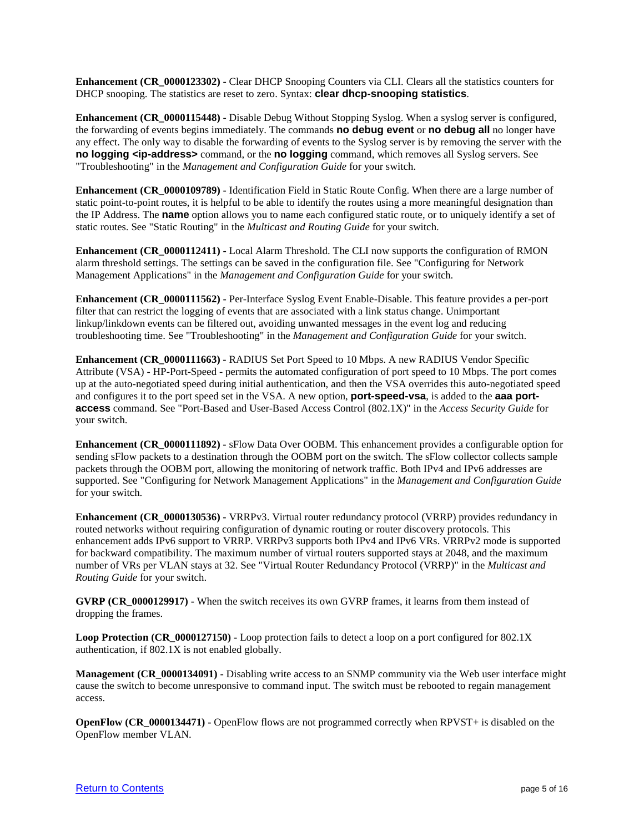**Enhancement (CR\_0000123302) -** Clear DHCP Snooping Counters via CLI. Clears all the statistics counters for DHCP snooping. The statistics are reset to zero. Syntax: **clear dhcp-snooping statistics**.

**Enhancement (CR\_0000115448) -** Disable Debug Without Stopping Syslog. When a syslog server is configured, the forwarding of events begins immediately. The commands **no debug event** or **no debug all** no longer have any effect. The only way to disable the forwarding of events to the Syslog server is by removing the server with the **no logging <ip-address>** command, or the **no logging** command, which removes all Syslog servers. See "Troubleshooting" in the *Management and Configuration Guide* for your switch.

**Enhancement (CR\_0000109789) -** Identification Field in Static Route Config. When there are a large number of static point-to-point routes, it is helpful to be able to identify the routes using a more meaningful designation than the IP Address. The **name** option allows you to name each configured static route, or to uniquely identify a set of static routes. See "Static Routing" in the *Multicast and Routing Guide* for your switch.

**Enhancement (CR\_0000112411) -** Local Alarm Threshold. The CLI now supports the configuration of RMON alarm threshold settings. The settings can be saved in the configuration file. See "Configuring for Network Management Applications" in the *Management and Configuration Guide* for your switch.

**Enhancement (CR\_0000111562) -** Per-Interface Syslog Event Enable-Disable. This feature provides a per-port filter that can restrict the logging of events that are associated with a link status change. Unimportant linkup/linkdown events can be filtered out, avoiding unwanted messages in the event log and reducing troubleshooting time. See "Troubleshooting" in the *Management and Configuration Guide* for your switch.

**Enhancement (CR\_0000111663) -** RADIUS Set Port Speed to 10 Mbps. A new RADIUS Vendor Specific Attribute (VSA) - HP-Port-Speed - permits the automated configuration of port speed to 10 Mbps. The port comes up at the auto-negotiated speed during initial authentication, and then the VSA overrides this auto-negotiated speed and configures it to the port speed set in the VSA. A new option, **port-speed-vsa**, is added to the **aaa portaccess** command. See "Port-Based and User-Based Access Control (802.1X)" in the *Access Security Guide* for your switch.

**Enhancement (CR\_0000111892) -** sFlow Data Over OOBM. This enhancement provides a configurable option for sending sFlow packets to a destination through the OOBM port on the switch. The sFlow collector collects sample packets through the OOBM port, allowing the monitoring of network traffic. Both IPv4 and IPv6 addresses are supported. See "Configuring for Network Management Applications" in the *Management and Configuration Guide* for your switch.

**Enhancement (CR\_0000130536) -** VRRPv3. Virtual router redundancy protocol (VRRP) provides redundancy in routed networks without requiring configuration of dynamic routing or router discovery protocols. This enhancement adds IPv6 support to VRRP. VRRPv3 supports both IPv4 and IPv6 VRs. VRRPv2 mode is supported for backward compatibility. The maximum number of virtual routers supported stays at 2048, and the maximum number of VRs per VLAN stays at 32. See "Virtual Router Redundancy Protocol (VRRP)" in the *Multicast and Routing Guide* for your switch.

**GVRP (CR\_0000129917) -** When the switch receives its own GVRP frames, it learns from them instead of dropping the frames.

**Loop Protection (CR\_0000127150) -** Loop protection fails to detect a loop on a port configured for 802.1X authentication, if 802.1X is not enabled globally.

**Management (CR\_0000134091) -** Disabling write access to an SNMP community via the Web user interface might cause the switch to become unresponsive to command input. The switch must be rebooted to regain management access.

**OpenFlow (CR\_0000134471) -** OpenFlow flows are not programmed correctly when RPVST+ is disabled on the OpenFlow member VLAN.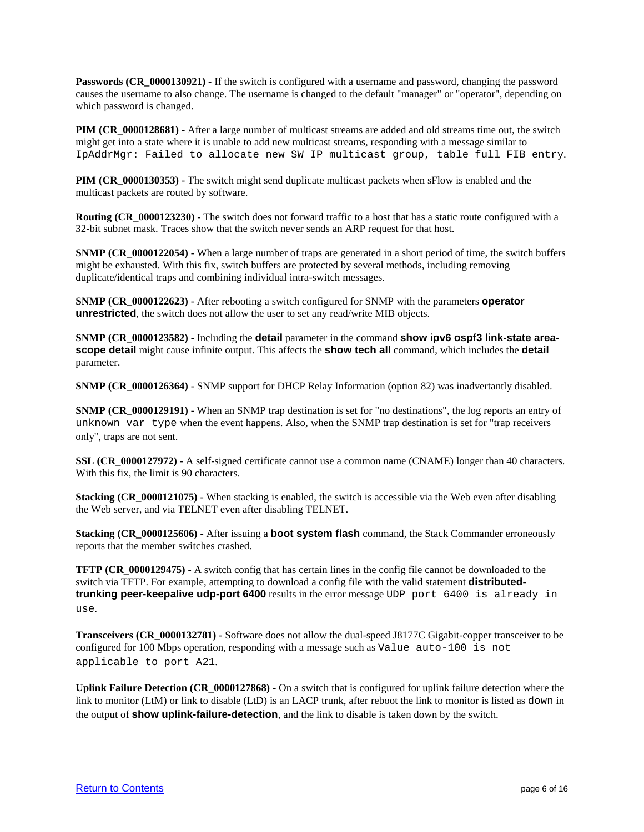**Passwords (CR\_0000130921) -** If the switch is configured with a username and password, changing the password causes the username to also change. The username is changed to the default "manager" or "operator", depending on which password is changed.

**PIM (CR\_0000128681)** - After a large number of multicast streams are added and old streams time out, the switch might get into a state where it is unable to add new multicast streams, responding with a message similar to IpAddrMgr: Failed to allocate new SW IP multicast group, table full FIB entry.

**PIM (CR\_0000130353) -** The switch might send duplicate multicast packets when sFlow is enabled and the multicast packets are routed by software.

**Routing (CR\_0000123230) -** The switch does not forward traffic to a host that has a static route configured with a 32-bit subnet mask. Traces show that the switch never sends an ARP request for that host.

**SNMP (CR\_0000122054) -** When a large number of traps are generated in a short period of time, the switch buffers might be exhausted. With this fix, switch buffers are protected by several methods, including removing duplicate/identical traps and combining individual intra-switch messages.

**SNMP (CR\_0000122623)** - After rebooting a switch configured for SNMP with the parameters **operator unrestricted**, the switch does not allow the user to set any read/write MIB objects.

**SNMP (CR\_0000123582) -** Including the **detail** parameter in the command **show ipv6 ospf3 link-state areascope detail** might cause infinite output. This affects the **show tech all** command, which includes the **detail** parameter.

**SNMP (CR\_0000126364) -** SNMP support for DHCP Relay Information (option 82) was inadvertantly disabled.

**SNMP (CR\_0000129191)** - When an SNMP trap destination is set for "no destinations", the log reports an entry of unknown var type when the event happens. Also, when the SNMP trap destination is set for "trap receivers only", traps are not sent.

**SSL (CR\_0000127972) -** A self-signed certificate cannot use a common name (CNAME) longer than 40 characters. With this fix, the limit is 90 characters.

**Stacking (CR\_0000121075)** - When stacking is enabled, the switch is accessible via the Web even after disabling the Web server, and via TELNET even after disabling TELNET.

**Stacking (CR\_0000125606) -** After issuing a **boot system flash** command, the Stack Commander erroneously reports that the member switches crashed.

**TFTP (CR\_0000129475) -** A switch config that has certain lines in the config file cannot be downloaded to the switch via TFTP. For example, attempting to download a config file with the valid statement **distributedtrunking peer-keepalive udp-port 6400** results in the error message UDP port 6400 is already in use.

**Transceivers (CR\_0000132781) -** Software does not allow the dual-speed J8177C Gigabit-copper transceiver to be configured for 100 Mbps operation, responding with a message such as Value auto-100 is not applicable to port A21.

**Uplink Failure Detection (CR\_0000127868) -** On a switch that is configured for uplink failure detection where the link to monitor (LtM) or link to disable (LtD) is an LACP trunk, after reboot the link to monitor is listed as down in the output of **show uplink-failure-detection**, and the link to disable is taken down by the switch.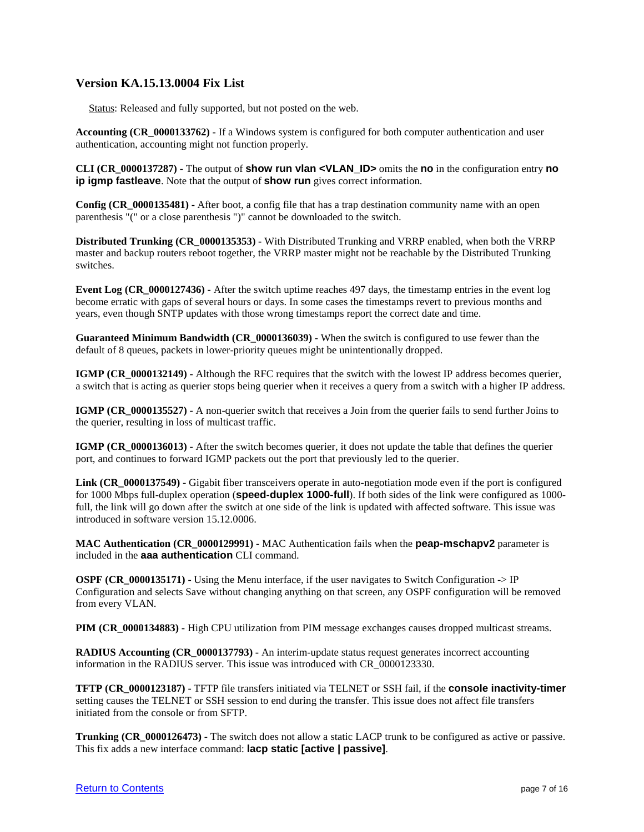# <span id="page-6-0"></span>**Version KA.15.13.0004 Fix List**

Status: Released and fully supported, but not posted on the web.

**Accounting (CR\_0000133762) -** If a Windows system is configured for both computer authentication and user authentication, accounting might not function properly.

**CLI (CR\_0000137287) -** The output of **show run vlan <VLAN\_ID>** omits the **no** in the configuration entry **no ip igmp fastleave**. Note that the output of **show run** gives correct information.

**Config (CR\_0000135481) -** After boot, a config file that has a trap destination community name with an open parenthesis "(" or a close parenthesis ")" cannot be downloaded to the switch.

**Distributed Trunking (CR\_0000135353) -** With Distributed Trunking and VRRP enabled, when both the VRRP master and backup routers reboot together, the VRRP master might not be reachable by the Distributed Trunking switches.

**Event Log (CR\_0000127436) -** After the switch uptime reaches 497 days, the timestamp entries in the event log become erratic with gaps of several hours or days. In some cases the timestamps revert to previous months and years, even though SNTP updates with those wrong timestamps report the correct date and time.

**Guaranteed Minimum Bandwidth (CR\_0000136039) -** When the switch is configured to use fewer than the default of 8 queues, packets in lower-priority queues might be unintentionally dropped.

**IGMP (CR\_0000132149)** - Although the RFC requires that the switch with the lowest IP address becomes querier, a switch that is acting as querier stops being querier when it receives a query from a switch with a higher IP address.

**IGMP (CR\_0000135527) -** A non-querier switch that receives a Join from the querier fails to send further Joins to the querier, resulting in loss of multicast traffic.

**IGMP (CR\_0000136013)** - After the switch becomes querier, it does not update the table that defines the querier port, and continues to forward IGMP packets out the port that previously led to the querier.

**Link (CR\_0000137549) -** Gigabit fiber transceivers operate in auto-negotiation mode even if the port is configured for 1000 Mbps full-duplex operation (**speed-duplex 1000-full**). If both sides of the link were configured as 1000 full, the link will go down after the switch at one side of the link is updated with affected software. This issue was introduced in software version 15.12.0006.

**MAC Authentication (CR\_0000129991) -** MAC Authentication fails when the **peap-mschapv2** parameter is included in the **aaa authentication** CLI command.

**OSPF (CR\_0000135171) -** Using the Menu interface, if the user navigates to Switch Configuration  $\geq$  IP Configuration and selects Save without changing anything on that screen, any OSPF configuration will be removed from every VLAN.

**PIM (CR\_0000134883) -** High CPU utilization from PIM message exchanges causes dropped multicast streams.

**RADIUS Accounting (CR\_0000137793) -** An interim-update status request generates incorrect accounting information in the RADIUS server. This issue was introduced with CR\_0000123330.

**TFTP (CR\_0000123187) -** TFTP file transfers initiated via TELNET or SSH fail, if the **console inactivity-timer** setting causes the TELNET or SSH session to end during the transfer. This issue does not affect file transfers initiated from the console or from SFTP.

**Trunking (CR\_0000126473) -** The switch does not allow a static LACP trunk to be configured as active or passive. This fix adds a new interface command: **lacp static [active | passive]**.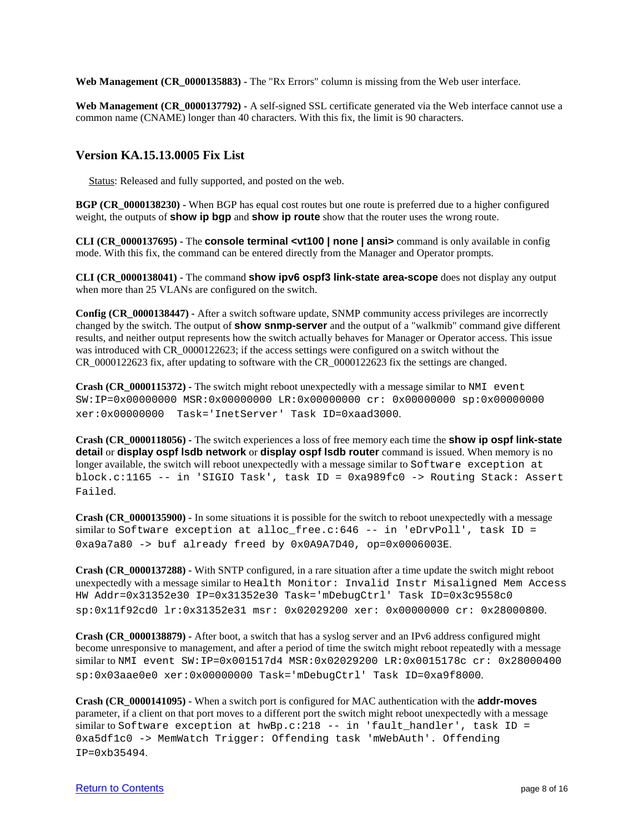**Web Management (CR\_0000135883) -** The "Rx Errors" column is missing from the Web user interface.

**Web Management (CR\_0000137792) -** A self-signed SSL certificate generated via the Web interface cannot use a common name (CNAME) longer than 40 characters. With this fix, the limit is 90 characters.

#### <span id="page-7-0"></span>**Version KA.15.13.0005 Fix List**

Status: Released and fully supported, and posted on the web.

**BGP (CR\_0000138230) -** When BGP has equal cost routes but one route is preferred due to a higher configured weight, the outputs of **show ip bgp** and **show ip route** show that the router uses the wrong route.

**CLI (CR\_0000137695) -** The **console terminal <vt100 | none | ansi>** command is only available in config mode. With this fix, the command can be entered directly from the Manager and Operator prompts.

**CLI (CR\_0000138041) -** The command **show ipv6 ospf3 link-state area-scope** does not display any output when more than 25 VLANs are configured on the switch.

**Config (CR\_0000138447) -** After a switch software update, SNMP community access privileges are incorrectly changed by the switch. The output of **show snmp-server** and the output of a "walkmib" command give different results, and neither output represents how the switch actually behaves for Manager or Operator access. This issue was introduced with CR\_0000122623; if the access settings were configured on a switch without the CR\_0000122623 fix, after updating to software with the CR\_0000122623 fix the settings are changed.

**Crash (CR\_0000115372) -** The switch might reboot unexpectedly with a message similar to NMI event SW:IP=0x00000000 MSR:0x00000000 LR:0x00000000 cr: 0x00000000 sp:0x00000000 xer:0x00000000 Task='InetServer' Task ID=0xaad3000.

**Crash (CR\_0000118056) -** The switch experiences a loss of free memory each time the **show ip ospf link-state detail** or **display ospf lsdb network** or **display ospf lsdb router** command is issued. When memory is no longer available, the switch will reboot unexpectedly with a message similar to Software exception at block.c:1165 -- in 'SIGIO Task', task ID = 0xa989fc0 -> Routing Stack: Assert Failed.

**Crash (CR\_0000135900) -** In some situations it is possible for the switch to reboot unexpectedly with a message similar to Software exception at alloc\_free.c:646 -- in 'eDrvPoll', task ID = 0xa9a7a80 -> buf already freed by 0x0A9A7D40, op=0x0006003E.

**Crash (CR\_0000137288) -** With SNTP configured, in a rare situation after a time update the switch might reboot unexpectedly with a message similar to Health Monitor: Invalid Instr Misaligned Mem Access HW Addr=0x31352e30 IP=0x31352e30 Task='mDebugCtrl' Task ID=0x3c9558c0 sp:0x11f92cd0 lr:0x31352e31 msr: 0x02029200 xer: 0x00000000 cr: 0x28000800.

**Crash (CR\_0000138879) -** After boot, a switch that has a syslog server and an IPv6 address configured might become unresponsive to management, and after a period of time the switch might reboot repeatedly with a message similar to NMI event SW:IP=0x001517d4 MSR:0x02029200 LR:0x0015178c cr: 0x28000400 sp:0x03aae0e0 xer:0x00000000 Task='mDebugCtrl' Task ID=0xa9f8000.

**Crash (CR\_0000141095) -** When a switch port is configured for MAC authentication with the **addr-moves** parameter, if a client on that port moves to a different port the switch might reboot unexpectedly with a message similar to Software exception at hwBp.c:218 -- in 'fault\_handler', task ID = 0xa5df1c0 -> MemWatch Trigger: Offending task 'mWebAuth'. Offending IP=0xb35494.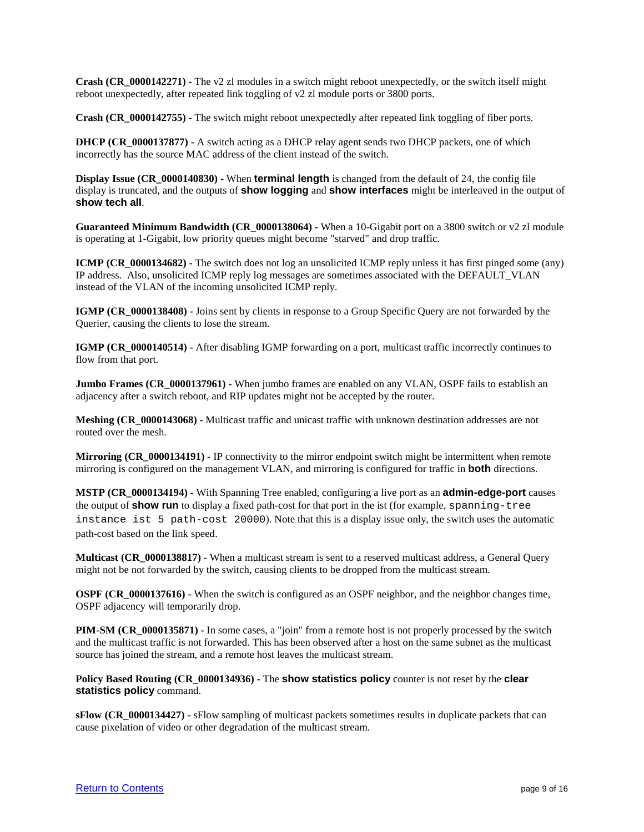**Crash (CR\_0000142271) -** The v2 zl modules in a switch might reboot unexpectedly, or the switch itself might reboot unexpectedly, after repeated link toggling of v2 zl module ports or 3800 ports.

**Crash (CR\_0000142755) -** The switch might reboot unexpectedly after repeated link toggling of fiber ports.

**DHCP (CR\_0000137877) -** A switch acting as a DHCP relay agent sends two DHCP packets, one of which incorrectly has the source MAC address of the client instead of the switch.

**Display Issue (CR\_0000140830) -** When **terminal length** is changed from the default of 24, the config file display is truncated, and the outputs of **show logging** and **show interfaces** might be interleaved in the output of **show tech all**.

**Guaranteed Minimum Bandwidth (CR\_0000138064) -** When a 10-Gigabit port on a 3800 switch or v2 zl module is operating at 1-Gigabit, low priority queues might become "starved" and drop traffic.

**ICMP (CR\_0000134682)** - The switch does not log an unsolicited ICMP reply unless it has first pinged some (any) IP address. Also, unsolicited ICMP reply log messages are sometimes associated with the DEFAULT\_VLAN instead of the VLAN of the incoming unsolicited ICMP reply.

**IGMP (CR\_0000138408) -** Joins sent by clients in response to a Group Specific Query are not forwarded by the Querier, causing the clients to lose the stream.

**IGMP (CR\_0000140514) -** After disabling IGMP forwarding on a port, multicast traffic incorrectly continues to flow from that port.

**Jumbo Frames (CR\_0000137961) -** When jumbo frames are enabled on any VLAN, OSPF fails to establish an adjacency after a switch reboot, and RIP updates might not be accepted by the router.

**Meshing (CR\_0000143068) -** Multicast traffic and unicast traffic with unknown destination addresses are not routed over the mesh.

**Mirroring (CR\_0000134191) -** IP connectivity to the mirror endpoint switch might be intermittent when remote mirroring is configured on the management VLAN, and mirroring is configured for traffic in **both** directions.

**MSTP (CR\_0000134194) -** With Spanning Tree enabled, configuring a live port as an **admin-edge-port** causes the output of **show run** to display a fixed path-cost for that port in the ist (for example, spanning-tree instance ist 5 path-cost 20000). Note that this is a display issue only, the switch uses the automatic path-cost based on the link speed.

**Multicast (CR\_0000138817) -** When a multicast stream is sent to a reserved multicast address, a General Query might not be not forwarded by the switch, causing clients to be dropped from the multicast stream.

**OSPF** (CR\_0000137616) - When the switch is configured as an OSPF neighbor, and the neighbor changes time, OSPF adjacency will temporarily drop.

**PIM-SM (CR\_0000135871)** - In some cases, a "join" from a remote host is not properly processed by the switch and the multicast traffic is not forwarded. This has been observed after a host on the same subnet as the multicast source has joined the stream, and a remote host leaves the multicast stream.

**Policy Based Routing (CR\_0000134936) -** The **show statistics policy** counter is not reset by the **clear statistics policy** command.

**sFlow (CR\_0000134427) -** sFlow sampling of multicast packets sometimes results in duplicate packets that can cause pixelation of video or other degradation of the multicast stream.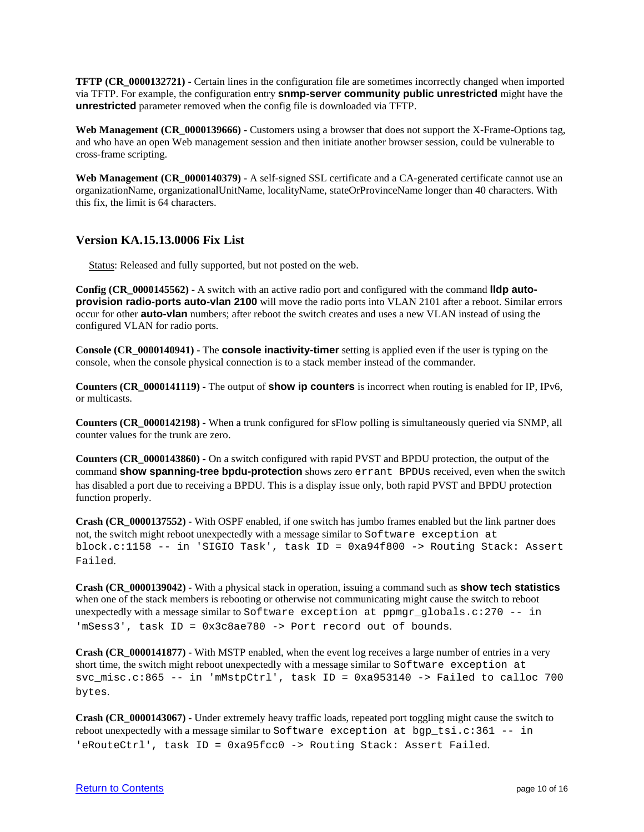**TFTP (CR\_0000132721) -** Certain lines in the configuration file are sometimes incorrectly changed when imported via TFTP. For example, the configuration entry **snmp-server community public unrestricted** might have the **unrestricted** parameter removed when the config file is downloaded via TFTP.

Web Management (CR 0000139666) - Customers using a browser that does not support the X-Frame-Options tag, and who have an open Web management session and then initiate another browser session, could be vulnerable to cross-frame scripting.

**Web Management (CR\_0000140379) -** A self-signed SSL certificate and a CA-generated certificate cannot use an organizationName, organizationalUnitName, localityName, stateOrProvinceName longer than 40 characters. With this fix, the limit is 64 characters.

# <span id="page-9-0"></span>**Version KA.15.13.0006 Fix List**

Status: Released and fully supported, but not posted on the web.

**Config (CR\_0000145562) -** A switch with an active radio port and configured with the command **lldp autoprovision radio-ports auto-vlan 2100** will move the radio ports into VLAN 2101 after a reboot. Similar errors occur for other **auto-vlan** numbers; after reboot the switch creates and uses a new VLAN instead of using the configured VLAN for radio ports.

**Console (CR\_0000140941) -** The **console inactivity-timer** setting is applied even if the user is typing on the console, when the console physical connection is to a stack member instead of the commander.

**Counters (CR\_0000141119) -** The output of **show ip counters** is incorrect when routing is enabled for IP, IPv6, or multicasts.

**Counters (CR\_0000142198) -** When a trunk configured for sFlow polling is simultaneously queried via SNMP, all counter values for the trunk are zero.

**Counters (CR\_0000143860) -** On a switch configured with rapid PVST and BPDU protection, the output of the command **show spanning-tree bpdu-protection** shows zero errant BPDUs received, even when the switch has disabled a port due to receiving a BPDU. This is a display issue only, both rapid PVST and BPDU protection function properly.

**Crash (CR\_0000137552) -** With OSPF enabled, if one switch has jumbo frames enabled but the link partner does not, the switch might reboot unexpectedly with a message similar to Software exception at block.c:1158 -- in 'SIGIO Task', task ID = 0xa94f800 -> Routing Stack: Assert Failed.

**Crash (CR\_0000139042) -** With a physical stack in operation, issuing a command such as **show tech statistics** when one of the stack members is rebooting or otherwise not communicating might cause the switch to reboot unexpectedly with a message similar to Software exception at ppmgr\_globals.c:270 -- in 'mSess3', task ID = 0x3c8ae780 -> Port record out of bounds.

**Crash (CR\_0000141877) -** With MSTP enabled, when the event log receives a large number of entries in a very short time, the switch might reboot unexpectedly with a message similar to Software exception at svc misc.c:865 -- in 'mMstpCtrl', task ID = 0xa953140 -> Failed to calloc 700 bytes.

**Crash (CR\_0000143067) -** Under extremely heavy traffic loads, repeated port toggling might cause the switch to reboot unexpectedly with a message similar to Software exception at  $bgp_tsi.c:361 - - in$ 'eRouteCtrl', task ID = 0xa95fcc0 -> Routing Stack: Assert Failed.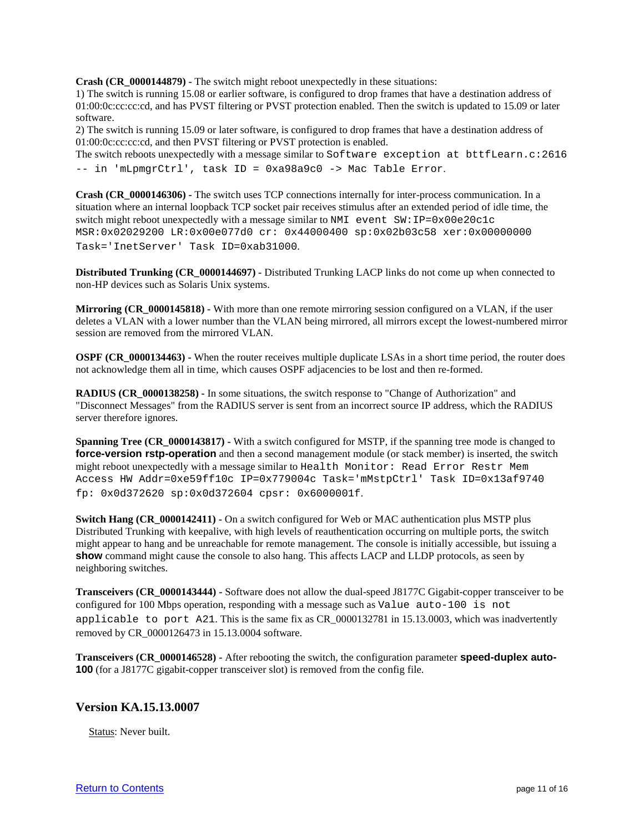**Crash (CR\_0000144879) -** The switch might reboot unexpectedly in these situations:

1) The switch is running 15.08 or earlier software, is configured to drop frames that have a destination address of 01:00:0c:cc:cc:cd, and has PVST filtering or PVST protection enabled. Then the switch is updated to 15.09 or later software.

2) The switch is running 15.09 or later software, is configured to drop frames that have a destination address of 01:00:0c:cc:cc:cd, and then PVST filtering or PVST protection is enabled.

The switch reboots unexpectedly with a message similar to Software exception at bttfLearn.c:2616 -- in 'mLpmgrCtrl', task ID = 0xa98a9c0 -> Mac Table Error.

**Crash (CR\_0000146306) -** The switch uses TCP connections internally for inter-process communication. In a situation where an internal loopback TCP socket pair receives stimulus after an extended period of idle time, the switch might reboot unexpectedly with a message similar to NMI event SW:IP=0x00e20c1c MSR:0x02029200 LR:0x00e077d0 cr: 0x44000400 sp:0x02b03c58 xer:0x00000000 Task='InetServer' Task ID=0xab31000.

**Distributed Trunking (CR\_0000144697) -** Distributed Trunking LACP links do not come up when connected to non-HP devices such as Solaris Unix systems.

**Mirroring (CR\_0000145818) -** With more than one remote mirroring session configured on a VLAN, if the user deletes a VLAN with a lower number than the VLAN being mirrored, all mirrors except the lowest-numbered mirror session are removed from the mirrored VLAN.

**OSPF (CR\_0000134463)** - When the router receives multiple duplicate LSAs in a short time period, the router does not acknowledge them all in time, which causes OSPF adjacencies to be lost and then re-formed.

**RADIUS (CR\_0000138258) -** In some situations, the switch response to "Change of Authorization" and "Disconnect Messages" from the RADIUS server is sent from an incorrect source IP address, which the RADIUS server therefore ignores.

**Spanning Tree (CR\_0000143817) -** With a switch configured for MSTP, if the spanning tree mode is changed to **force-version rstp-operation** and then a second management module (or stack member) is inserted, the switch might reboot unexpectedly with a message similar to Health Monitor: Read Error Restr Mem Access HW Addr=0xe59ff10c IP=0x779004c Task='mMstpCtrl' Task ID=0x13af9740 fp: 0x0d372620 sp:0x0d372604 cpsr: 0x6000001f.

**Switch Hang (CR\_0000142411) -** On a switch configured for Web or MAC authentication plus MSTP plus Distributed Trunking with keepalive, with high levels of reauthentication occurring on multiple ports, the switch might appear to hang and be unreachable for remote management. The console is initially accessible, but issuing a **show** command might cause the console to also hang. This affects LACP and LLDP protocols, as seen by neighboring switches.

**Transceivers (CR\_0000143444) -** Software does not allow the dual-speed J8177C Gigabit-copper transceiver to be configured for 100 Mbps operation, responding with a message such as Value auto-100 is not applicable to port A21. This is the same fix as CR\_0000132781 in 15.13.0003, which was inadvertently removed by CR\_0000126473 in 15.13.0004 software.

**Transceivers (CR\_0000146528) -** After rebooting the switch, the configuration parameter **speed-duplex auto-100** (for a J8177C gigabit-copper transceiver slot) is removed from the config file.

#### <span id="page-10-0"></span>**Version KA.15.13.0007**

Status: Never built.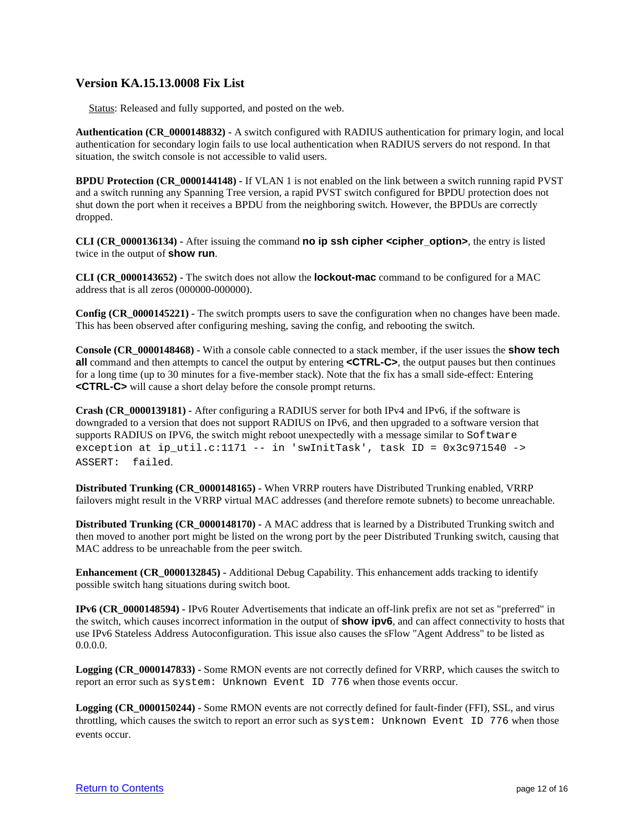## <span id="page-11-0"></span>**Version KA.15.13.0008 Fix List**

Status: Released and fully supported, and posted on the web.

**Authentication (CR\_0000148832) -** A switch configured with RADIUS authentication for primary login, and local authentication for secondary login fails to use local authentication when RADIUS servers do not respond. In that situation, the switch console is not accessible to valid users.

**BPDU Protection (CR\_0000144148) -** If VLAN 1 is not enabled on the link between a switch running rapid PVST and a switch running any Spanning Tree version, a rapid PVST switch configured for BPDU protection does not shut down the port when it receives a BPDU from the neighboring switch. However, the BPDUs are correctly dropped.

**CLI (CR\_0000136134) -** After issuing the command **no ip ssh cipher <cipher\_option>**, the entry is listed twice in the output of **show run**.

**CLI (CR\_0000143652) -** The switch does not allow the **lockout-mac** command to be configured for a MAC address that is all zeros (000000-000000).

**Config (CR\_0000145221) -** The switch prompts users to save the configuration when no changes have been made. This has been observed after configuring meshing, saving the config, and rebooting the switch.

**Console (CR\_0000148468) -** With a console cable connected to a stack member, if the user issues the **show tech all** command and then attempts to cancel the output by entering **<CTRL-C>**, the output pauses but then continues for a long time (up to 30 minutes for a five-member stack). Note that the fix has a small side-effect: Entering **<CTRL-C>** will cause a short delay before the console prompt returns.

**Crash (CR\_0000139181) -** After configuring a RADIUS server for both IPv4 and IPv6, if the software is downgraded to a version that does not support RADIUS on IPv6, and then upgraded to a software version that supports RADIUS on IPV6, the switch might reboot unexpectedly with a message similar to Software exception at ip\_util.c:1171 -- in 'swInitTask', task ID =  $0x3c971540$  -> ASSERT: failed.

**Distributed Trunking (CR\_0000148165) -** When VRRP routers have Distributed Trunking enabled, VRRP failovers might result in the VRRP virtual MAC addresses (and therefore remote subnets) to become unreachable.

**Distributed Trunking (CR\_0000148170) -** A MAC address that is learned by a Distributed Trunking switch and then moved to another port might be listed on the wrong port by the peer Distributed Trunking switch, causing that MAC address to be unreachable from the peer switch.

**Enhancement (CR\_0000132845) -** Additional Debug Capability. This enhancement adds tracking to identify possible switch hang situations during switch boot.

**IPv6 (CR\_0000148594) -** IPv6 Router Advertisements that indicate an off-link prefix are not set as "preferred" in the switch, which causes incorrect information in the output of **show ipv6**, and can affect connectivity to hosts that use IPv6 Stateless Address Autoconfiguration. This issue also causes the sFlow "Agent Address" to be listed as 0.0.0.0.

**Logging (CR\_0000147833) -** Some RMON events are not correctly defined for VRRP, which causes the switch to report an error such as system: Unknown Event ID 776 when those events occur.

**Logging (CR\_0000150244) -** Some RMON events are not correctly defined for fault-finder (FFI), SSL, and virus throttling, which causes the switch to report an error such as system: Unknown Event ID 776 when those events occur.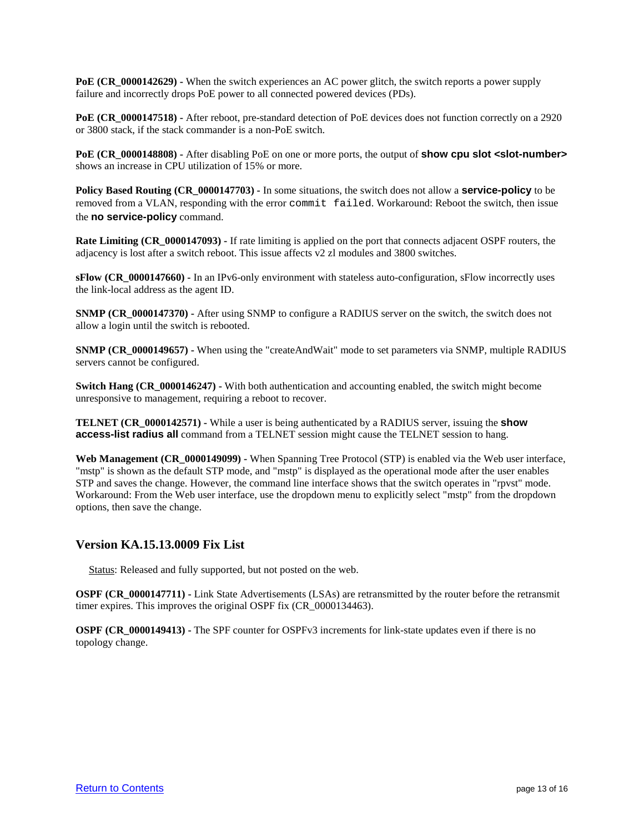**PoE (CR\_0000142629) -** When the switch experiences an AC power glitch, the switch reports a power supply failure and incorrectly drops PoE power to all connected powered devices (PDs).

**PoE (CR\_0000147518)** - After reboot, pre-standard detection of PoE devices does not function correctly on a 2920 or 3800 stack, if the stack commander is a non-PoE switch.

**PoE (CR\_0000148808) -** After disabling PoE on one or more ports, the output of **show cpu slot <slot-number>** shows an increase in CPU utilization of 15% or more.

**Policy Based Routing (CR\_0000147703) -** In some situations, the switch does not allow a **service-policy** to be removed from a VLAN, responding with the error commit failed. Workaround: Reboot the switch, then issue the **no service-policy** command.

**Rate Limiting (CR\_0000147093) -** If rate limiting is applied on the port that connects adjacent OSPF routers, the adjacency is lost after a switch reboot. This issue affects v2 zl modules and 3800 switches.

**sFlow (CR\_0000147660) -** In an IPv6-only environment with stateless auto-configuration, sFlow incorrectly uses the link-local address as the agent ID.

**SNMP (CR\_0000147370)** - After using SNMP to configure a RADIUS server on the switch, the switch does not allow a login until the switch is rebooted.

**SNMP (CR\_0000149657) -** When using the "createAndWait" mode to set parameters via SNMP, multiple RADIUS servers cannot be configured.

**Switch Hang (CR\_0000146247) -** With both authentication and accounting enabled, the switch might become unresponsive to management, requiring a reboot to recover.

**TELNET (CR\_0000142571) -** While a user is being authenticated by a RADIUS server, issuing the **show access-list radius all** command from a TELNET session might cause the TELNET session to hang.

**Web Management (CR\_0000149099) -** When Spanning Tree Protocol (STP) is enabled via the Web user interface, "mstp" is shown as the default STP mode, and "mstp" is displayed as the operational mode after the user enables STP and saves the change. However, the command line interface shows that the switch operates in "rpvst" mode. Workaround: From the Web user interface, use the dropdown menu to explicitly select "mstp" from the dropdown options, then save the change.

#### <span id="page-12-0"></span>**Version KA.15.13.0009 Fix List**

Status: Released and fully supported, but not posted on the web.

**OSPF (CR\_0000147711) -** Link State Advertisements (LSAs) are retransmitted by the router before the retransmit timer expires. This improves the original OSPF fix (CR\_0000134463).

**OSPF (CR\_0000149413) -** The SPF counter for OSPFv3 increments for link-state updates even if there is no topology change.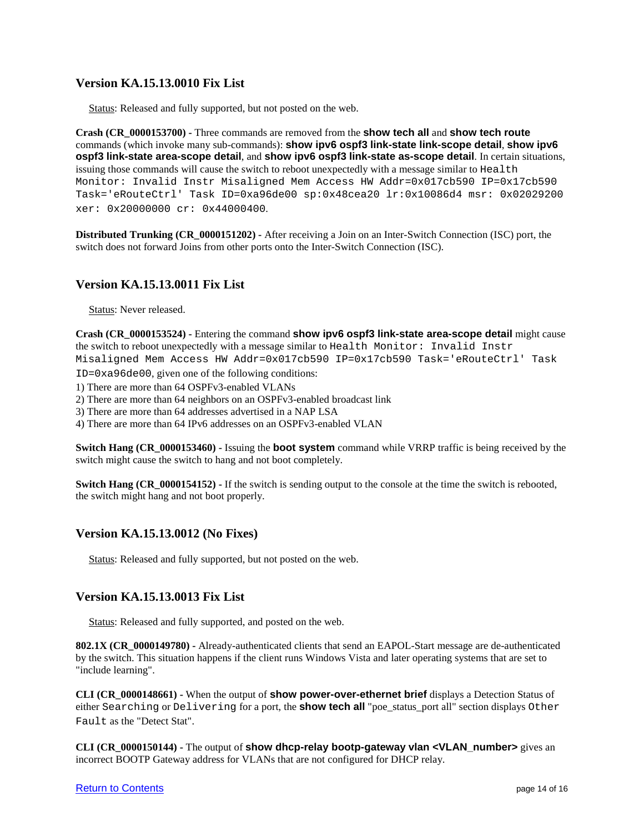# <span id="page-13-0"></span>**Version KA.15.13.0010 Fix List**

Status: Released and fully supported, but not posted on the web.

**Crash (CR\_0000153700) -** Three commands are removed from the **show tech all** and **show tech route** commands (which invoke many sub-commands): **show ipv6 ospf3 link-state link-scope detail**, **show ipv6 ospf3 link-state area-scope detail**, and **show ipv6 ospf3 link-state as-scope detail**. In certain situations, issuing those commands will cause the switch to reboot unexpectedly with a message similar to Health Monitor: Invalid Instr Misaligned Mem Access HW Addr=0x017cb590 IP=0x17cb590 Task='eRouteCtrl' Task ID=0xa96de00 sp:0x48cea20 lr:0x10086d4 msr: 0x02029200 xer: 0x20000000 cr: 0x44000400.

**Distributed Trunking (CR\_0000151202) -** After receiving a Join on an Inter-Switch Connection (ISC) port, the switch does not forward Joins from other ports onto the Inter-Switch Connection (ISC).

# <span id="page-13-1"></span>**Version KA.15.13.0011 Fix List**

Status: Never released.

**Crash (CR\_0000153524) -** Entering the command **show ipv6 ospf3 link-state area-scope detail** might cause the switch to reboot unexpectedly with a message similar to Health Monitor: Invalid Instr Misaligned Mem Access HW Addr=0x017cb590 IP=0x17cb590 Task='eRouteCtrl' Task ID=0xa96de00, given one of the following conditions:

1) There are more than 64 OSPFv3-enabled VLANs

2) There are more than 64 neighbors on an OSPFv3-enabled broadcast link

3) There are more than 64 addresses advertised in a NAP LSA

4) There are more than 64 IPv6 addresses on an OSPFv3-enabled VLAN

**Switch Hang (CR\_0000153460) -** Issuing the **boot system** command while VRRP traffic is being received by the switch might cause the switch to hang and not boot completely.

**Switch Hang (CR\_0000154152) -** If the switch is sending output to the console at the time the switch is rebooted, the switch might hang and not boot properly.

# <span id="page-13-2"></span>**Version KA.15.13.0012 (No Fixes)**

Status: Released and fully supported, but not posted on the web.

# <span id="page-13-3"></span>**Version KA.15.13.0013 Fix List**

Status: Released and fully supported, and posted on the web.

**802.1X (CR\_0000149780) -** Already-authenticated clients that send an EAPOL-Start message are de-authenticated by the switch. This situation happens if the client runs Windows Vista and later operating systems that are set to "include learning".

**CLI (CR\_0000148661) -** When the output of **show power-over-ethernet brief** displays a Detection Status of either Searching or Delivering for a port, the **show tech all** "poe\_status\_port all" section displays Other Fault as the "Detect Stat".

**CLI (CR\_0000150144)** - The output of **show dhcp-relay bootp-gateway vlan <VLAN\_number>** gives an incorrect BOOTP Gateway address for VLANs that are not configured for DHCP relay.

#### [Return to Contents](#page-0-0) **page 14 of 16**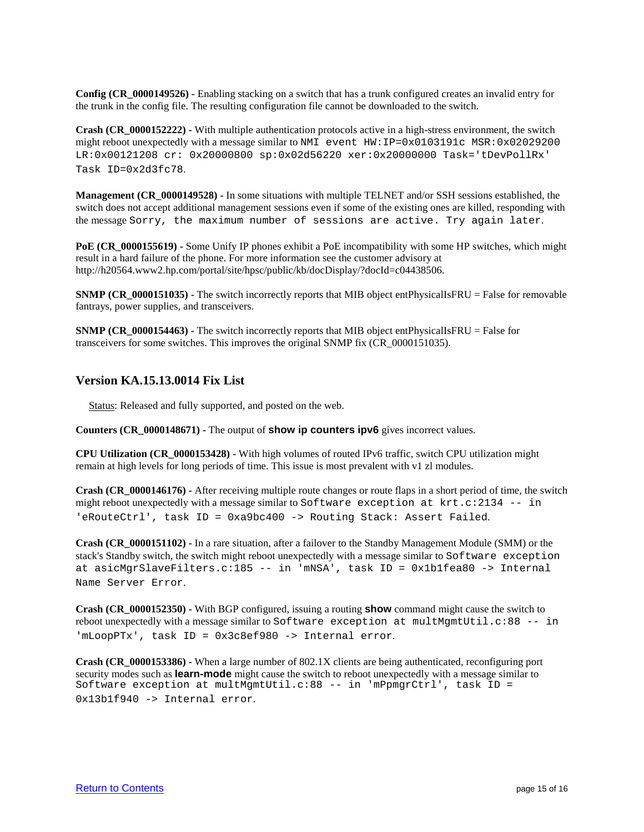**Config (CR\_0000149526) -** Enabling stacking on a switch that has a trunk configured creates an invalid entry for the trunk in the config file. The resulting configuration file cannot be downloaded to the switch.

**Crash (CR\_0000152222)** - With multiple authentication protocols active in a high-stress environment, the switch might reboot unexpectedly with a message similar to NMI event HW: IP=0x0103191c MSR:0x02029200 LR:0x00121208 cr: 0x20000800 sp:0x02d56220 xer:0x20000000 Task='tDevPollRx' Task ID=0x2d3fc78.

**Management (CR\_0000149528) -** In some situations with multiple TELNET and/or SSH sessions established, the switch does not accept additional management sessions even if some of the existing ones are killed, responding with the message Sorry, the maximum number of sessions are active. Try again later.

**PoE (CR\_0000155619) -** Some Unify IP phones exhibit a PoE incompatibility with some HP switches, which might result in a hard failure of the phone. For more information see the customer advisory at http://h20564.www2.hp.com/portal/site/hpsc/public/kb/docDisplay/?docId=c04438506.

**SNMP (CR\_0000151035)** - The switch incorrectly reports that MIB object entPhysicalIsFRU = False for removable fantrays, power supplies, and transceivers.

**SNMP (CR\_0000154463) -** The switch incorrectly reports that MIB object entPhysicalIsFRU = False for transceivers for some switches. This improves the original SNMP fix (CR\_0000151035).

#### <span id="page-14-0"></span>**Version KA.15.13.0014 Fix List**

Status: Released and fully supported, and posted on the web.

**Counters (CR\_0000148671) -** The output of **show ip counters ipv6** gives incorrect values.

**CPU Utilization (CR\_0000153428) -** With high volumes of routed IPv6 traffic, switch CPU utilization might remain at high levels for long periods of time. This issue is most prevalent with v1 zl modules.

**Crash (CR\_0000146176) -** After receiving multiple route changes or route flaps in a short period of time, the switch might reboot unexpectedly with a message similar to Software exception at  $krt.c:2134$  -- in 'eRouteCtrl', task ID = 0xa9bc400 -> Routing Stack: Assert Failed.

**Crash (CR\_0000151102) -** In a rare situation, after a failover to the Standby Management Module (SMM) or the stack's Standby switch, the switch might reboot unexpectedly with a message similar to Software exception at asicMgrSlaveFilters.c:185 -- in 'mNSA', task ID = 0x1b1fea80 -> Internal Name Server Error.

**Crash (CR\_0000152350) -** With BGP configured, issuing a routing **show** command might cause the switch to reboot unexpectedly with a message similar to Software exception at multMgmtUtil.c:88 -- in 'mLoopPTx', task ID = 0x3c8ef980 -> Internal error.

**Crash (CR\_0000153386)** - When a large number of 802.1X clients are being authenticated, reconfiguring port security modes such as **learn-mode** might cause the switch to reboot unexpectedly with a message similar to Software exception at multMgmtUtil.c:88 -- in 'mPpmgrCtrl', task ID = 0x13b1f940 -> Internal error.